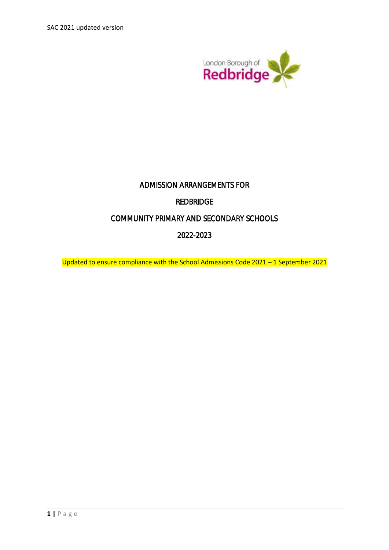SAC 2021 updated version



# ADMISSION ARRANGEMENTS FOR

## REDBRIDGE

## COMMUNITY PRIMARY AND SECONDARY SCHOOLS

## 2022-2023

Updated to ensure compliance with the School Admissions Code 2021 – 1 September 2021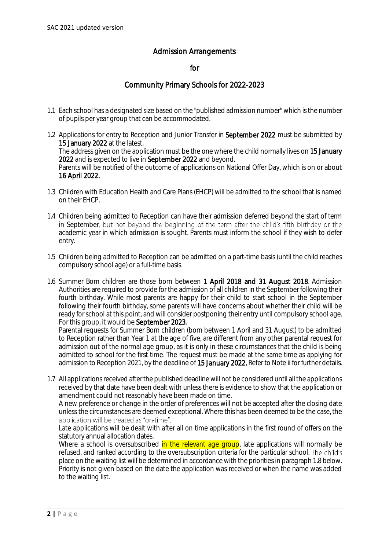## Admission Arrangements

#### for

### Community Primary Schools for 2022-2023

- 1.1 Each school has a designated size based on the "published admission number" which is the number of pupils per year group that can be accommodated.
- 1.2 Applications for entry to Reception and Junior Transfer in September 2022 must be submitted by 15 January 2022 at the latest. The address given on the application must be the one where the child normally lives on 15 January 2022 and is expected to live in September 2022 and beyond. Parents will be notified of the outcome of applications on National Offer Day, which is on or about 16 April 2022.
- 1.3 Children with Education Health and Care Plans (EHCP) will be admitted to the school that is named on their EHCP.
- 1.4 Children being admitted to Reception can have their admission deferred beyond the start of term in September, but not beyond the beginning of the term after the child's fifth birthday or the academic year in which admission is sought. Parents must inform the school if they wish to defer entry.
- 1.5 Children being admitted to Reception can be admitted on a part-time basis (until the child reaches compulsory school age) or a full-time basis.
- 1.6 Summer Born children are those born between 1 April 2018 and 31 August 2018. Admission Authorities are required to provide for the admission of all children in the September following their fourth birthday. While most parents are happy for their child to start school in the September following their fourth birthday, some parents will have concerns about whether their child will be ready for school at this point, and will consider postponing their entry until compulsory school age. For this group, it would be September 2023.

Parental requests for Summer Born children (born between 1 April and 31 August) to be admitted to Reception rather than Year 1 at the age of five, are different from any other parental request for admission out of the normal age group, as it is only in these circumstances that the child is being admitted to school for the first time. The request must be made at the same time as applying for admission to Reception 2021, by the deadline of 15 January 2022. Refer to Note ii for further details.

1.7 All applications received after the published deadline will not be considered until all the applications received by that date have been dealt with unless there is evidence to show that the application or amendment could not reasonably have been made on time.

A new preference or change in the order of preferences will not be accepted after the closing date unless the circumstances are deemed exceptional. Where this has been deemed to be the case, the application will be treated as "on-time".

Late applications will be dealt with after all on time applications in the first round of offers on the statutory annual allocation dates.

Where a school is oversubscribed in the relevant age group, late applications will normally be refused, and ranked according to the oversubscription criteria for the particular school. place on the waiting list will be determined in accordance with the priorities in paragraph 1.8 below. Priority is not given based on the date the application was received or when the name was added to the waiting list.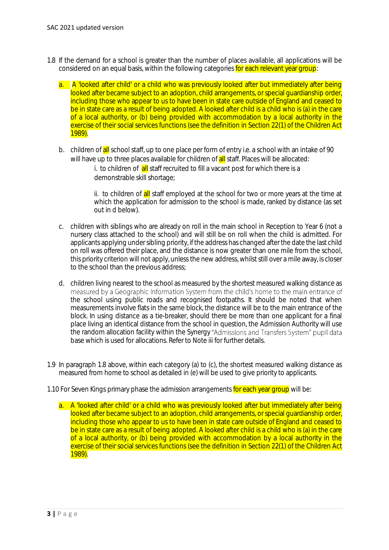- 1.8 If the demand for a school is greater than the number of places available, all applications will be considered on an equal basis, within the following categories for each relevant year group:
	- a. A 'looked after child' or a child who was previously looked after but immediately after being looked after became subject to an adoption, child arrangements, or special quardianship order, including those who appear to us to have been in state care outside of England and ceased to be in state care as a result of being adopted. A looked after child is a child who is (a) in the care of a local authority, or (b) being provided with accommodation by a local authority in the exercise of their social services functions (see the definition in Section 22(1) of the Children Act 1989).
	- b. children of all school staff, up to one place per form of entry i.e. a school with an intake of 90 will have up to three places available for children of **all** staff. Places will be allocated:
		- i. to children of all staff recruited to fill a vacant post for which there is a demonstrable skill shortage;

ii. to children of all staff employed at the school for two or more years at the time at which the application for admission to the school is made, ranked by distance (as set out in d below).

- c. children with siblings who are already on roll in the main school in Reception to Year 6 (not a nursery class attached to the school) and will still be on roll when the child is admitted. For applicants applying under sibling priority, if the address has changed after the date the last child on roll was offered their place, and the distance is now greater than one mile from the school, this priority criterion will not apply, unless the new address, whilst still over a mile away, is closer to the school than the previous address;
- d. children living nearest to the school as measured by the shortest measured walking distance as the school using public roads and recognised footpaths. It should be noted that when measurements involve flats in the same block, the distance will be to the main entrance of the block. In using distance as a tie-breaker, should there be more than one applicant for a final place living an identical distance from the school in question, the Admission Authority will use the random allocation facility within the Synergy "Admissions and Transfers System" pupil data base which is used for allocations. Refer to Note iii for further details.
- 1.9 In paragraph 1.8 above, within each category (a) to (c), the shortest measured walking distance as measured from home to school as detailed in (e) will be used to give priority to applicants.
- 1.10 For Seven Kings primary phase the admission arrangements for each year group will be:
	- a. A 'looked after child' or a child who was previously looked after but immediately after being looked after became subject to an adoption, child arrangements, or special quardianship order, including those who appear to us to have been in state care outside of England and ceased to be in state care as a result of being adopted. A looked after child is a child who is (a) in the care of a local authority, or (b) being provided with accommodation by a local authority in the exercise of their social services functions (see the definition in Section 22(1) of the Children Act 1989).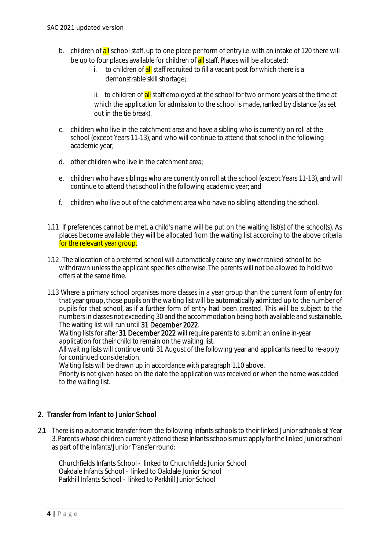- b. children of all school staff, up to one place per form of entry i.e. with an intake of 120 there will be up to four places available for children of **all** staff. Places will be allocated:
	- i. to children of all staff recruited to fill a vacant post for which there is a demonstrable skill shortage;

ii. to children of all staff employed at the school for two or more years at the time at which the application for admission to the school is made, ranked by distance (as set out in the tie break).

- c. children who live in the catchment area and have a sibling who is currently on roll at the school (except Years 11-13), and who will continue to attend that school in the following academic year;
- d. other children who live in the catchment area;
- e. children who have siblings who are currently on roll at the school (except Years 11-13), and will continue to attend that school in the following academic year; and
- f. children who live out of the catchment area who have no sibling attending the school.
- 1.11 If preferences cannot be met, a child's name will be put on the waiting list(s) of the school(s). As places become available they will be allocated from the waiting list according to the above criteria for the relevant year group.
- 1.12 The allocation of a preferred school will automatically cause any lower ranked school to be withdrawn unless the applicant specifies otherwise. The parents will not be allowed to hold two offers at the same time.
- 1.13 Where a primary school organises more classes in a year group than the current form of entry for that year group, those pupils on the waiting list will be automatically admitted up to the number of pupils for that school, as if a further form of entry had been created. This will be subject to the numbers in classes not exceeding 30 and the accommodation being both available and sustainable. The waiting list will run until 31 December 2022.

Waiting lists for after 31 December 2022 will require parents to submit an online in-year application for their child to remain on the waiting list.

All waiting lists will continue until 31 August of the following year and applicants need to re-apply for continued consideration.

Waiting lists will be drawn up in accordance with paragraph 1.10 above.

Priority is not given based on the date the application was received or when the name was added to the waiting list.

### 2. Transfer from Infant to Junior School

2.1 There is no automatic transfer from the following Infants schools to their linked Junior schools at Year 3. Parents whose children currently attend these Infants schools must apply for the linked Junior school as part of the Infants/Junior Transfer round:

Churchfields Infants School - linked to Churchfields Junior School Oakdale Infants School - linked to Oakdale Junior School Parkhill Infants School - linked to Parkhill Junior School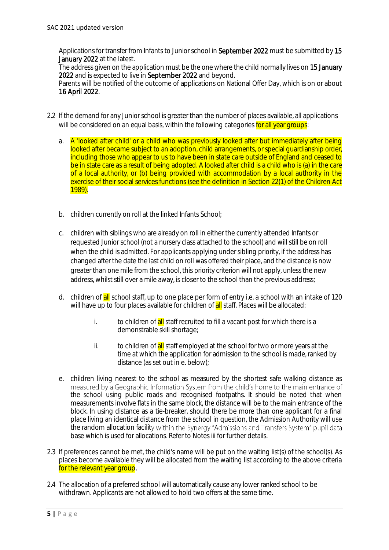Applications for transfer from Infants to Junior school in September 2022 must be submitted by 15 January 2022 at the latest.

The address given on the application must be the one where the child normally lives on 15 January 2022 and is expected to live in September 2022 and beyond.

Parents will be notified of the outcome of applications on National Offer Day, which is on or about 16 April 2022.

- 2.2 If the demand for any Junior school is greater than the number of places available, all applications will be considered on an equal basis, within the following categories for all year groups:
	- a. A 'looked after child' or a child who was previously looked after but immediately after being looked after became subject to an adoption, child arrangements, or special quardianship order, including those who appear to us to have been in state care outside of England and ceased to be in state care as a result of being adopted. A looked after child is a child who is (a) in the care of a local authority, or (b) being provided with accommodation by a local authority in the exercise of their social services functions (see the definition in Section 22(1) of the Children Act 1989).
	- b. children currently on roll at the linked Infants School;
	- c. children with siblings who are already on roll in either the currently attended Infants or requested Junior school (not a nursery class attached to the school) and will still be on roll when the child is admitted. For applicants applying under sibling priority, if the address has changed after the date the last child on roll was offered their place, and the distance is now greater than one mile from the school, this priority criterion will not apply, unless the new address, whilst still over a mile away, is closer to the school than the previous address;
	- d. children of all school staff, up to one place per form of entry i.e. a school with an intake of 120 will have up to four places available for children of **all** staff. Places will be allocated:
		- i. to children of all staff recruited to fill a vacant post for which there is a demonstrable skill shortage;
		- ii. to children of all staff employed at the school for two or more years at the time at which the application for admission to the school is made, ranked by distance (as set out in e. below);
	- e. children living nearest to the school as measured by the shortest safe walking distance as measured by a Geographic Information System from the child's home to the main entrance of the school using public roads and recognised footpaths. It should be noted that when measurements involve flats in the same block, the distance will be to the main entrance of the block. In using distance as a tie-breaker, should there be more than one applicant for a final place living an identical distance from the school in question, the Admission Authority will use the random allocation facility within the Synergy "Admissions and Transfers System" pupil data base which is used for allocations. Refer to Notes iii for further details.
- 2.3 If preferences cannot be met, the child's name will be put on the waiting list(s) of the school(s). As places become available they will be allocated from the waiting list according to the above criteria for the relevant year group.
- 2.4 The allocation of a preferred school will automatically cause any lower ranked school to be withdrawn. Applicants are not allowed to hold two offers at the same time.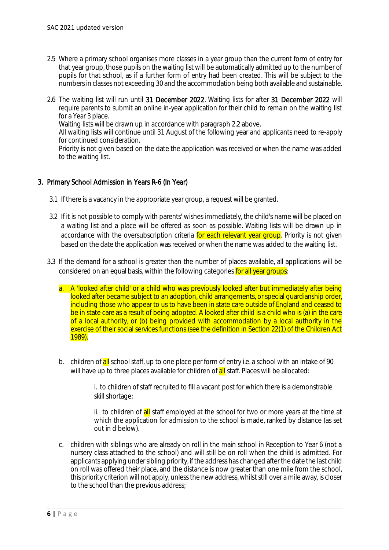- 2.5 Where a primary school organises more classes in a year group than the current form of entry for that year group, those pupils on the waiting list will be automatically admitted up to the number of pupils for that school, as if a further form of entry had been created. This will be subject to the numbers in classes not exceeding 30 and the accommodation being both available and sustainable.
- 2.6 The waiting list will run until 31 December 2022. Waiting lists for after 31 December 2022 will require parents to submit an online in-year application for their child to remain on the waiting list for a Year 3 place.

Waiting lists will be drawn up in accordance with paragraph 2.2 above.

All waiting lists will continue until 31 August of the following year and applicants need to re-apply for continued consideration.

Priority is not given based on the date the application was received or when the name was added to the waiting list.

#### 3. Primary School Admission in Years R-6 (In Year)

- 3.1 If there is a vacancy in the appropriate year group, a request will be granted.
- 3.2 If it is not possible to comply with parents' wishes immediately, the child's name will be placed on a waiting list and a place will be offered as soon as possible. Waiting lists will be drawn up in accordance with the oversubscription criteria for each relevant year group. Priority is not given based on the date the application was received or when the name was added to the waiting list.
- 3.3 If the demand for a school is greater than the number of places available, all applications will be considered on an equal basis, within the following categories for all year groups:
	- a. A 'looked after child' or a child who was previously looked after but immediately after being looked after became subject to an adoption, child arrangements, or special quardianship order, including those who appear to us to have been in state care outside of England and ceased to be in state care as a result of being adopted. A looked after child is a child who is (a) in the care of a local authority, or (b) being provided with accommodation by a local authority in the exercise of their social services functions (see the definition in Section 22(1) of the Children Act 1989).
	- b. children of all school staff, up to one place per form of entry i.e. a school with an intake of 90 will have up to three places available for children of **all** staff. Places will be allocated:

i. to children of staff recruited to fill a vacant post for which there is a demonstrable skill shortage;

ii. to children of all staff employed at the school for two or more years at the time at which the application for admission to the school is made, ranked by distance (as set out in d below).

c. children with siblings who are already on roll in the main school in Reception to Year 6 (not a nursery class attached to the school) and will still be on roll when the child is admitted. For applicants applying under sibling priority, if the address has changed after the date the last child on roll was offered their place, and the distance is now greater than one mile from the school, this priority criterion will not apply, unless the new address, whilst still over a mile away, is closer to the school than the previous address;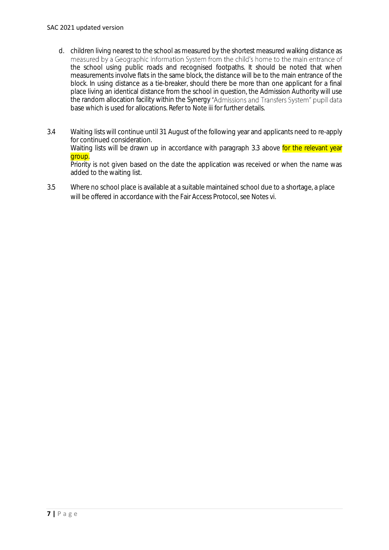- d. children living nearest to the school as measured by the shortest measured walking distance as the school using public roads and recognised footpaths. It should be noted that when measurements involve flats in the same block, the distance will be to the main entrance of the block. In using distance as a tie-breaker, should there be more than one applicant for a final place living an identical distance from the school in question, the Admission Authority will use the random allocation facility within the Synergy "Admissions and Transfers System" pupil data base which is used for allocations. Refer to Note iii for further details.
- 3.4 Waiting lists will continue until 31 August of the following year and applicants need to re-apply for continued consideration. Waiting lists will be drawn up in accordance with paragraph 3.3 above for the relevant year group. Priority is not given based on the date the application was received or when the name was added to the waiting list.
- 3.5 Where no school place is available at a suitable maintained school due to a shortage, a place will be offered in accordance with the Fair Access Protocol, see Notes vi.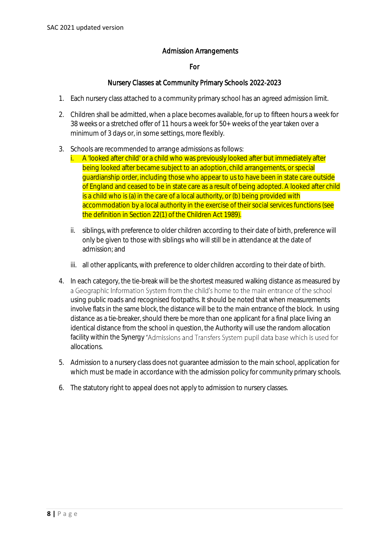### Admission Arrangements

#### For

#### Nursery Classes at Community Primary Schools 2022-2023

- 1. Each nursery class attached to a community primary school has an agreed admission limit.
- 2. Children shall be admitted, when a place becomes available, for up to fifteen hours a week for 38 weeks or a stretched offer of 11 hours a week for 50+ weeks of the year taken over a minimum of 3 days or, in some settings, more flexibly.
- 3. Schools are recommended to arrange admissions as follows:
	- i. A 'looked after child' or a child who was previously looked after but immediately after being looked after became subject to an adoption, child arrangements, or special guardianship order, including those who appear to us to have been in state care outside of England and ceased to be in state care as a result of being adopted. A looked after child is a child who is (a) in the care of a local authority, or (b) being provided with accommodation by a local authority in the exercise of their social services functions (see the definition in Section 22(1) of the Children Act 1989).
	- ii. siblings, with preference to older children according to their date of birth, preference will only be given to those with siblings who will still be in attendance at the date of admission; and
	- iii. all other applicants, with preference to older children according to their date of birth.
- 4. In each category, the tie-break will be the shortest measured walking distance as measured by a Geographic Information System from the child's home to the main entrance of the school using public roads and recognised footpaths. It should be noted that when measurements involve flats in the same block, the distance will be to the main entrance of the block. In using distance as a tie-breaker, should there be more than one applicant for a final place living an identical distance from the school in question, the Authority will use the random allocation facility within the Synergy "Admissions and Transfers System pupil data base which is used for allocations.
- 5. Admission to a nursery class does not guarantee admission to the main school, application for which must be made in accordance with the admission policy for community primary schools.
- 6. The statutory right to appeal does not apply to admission to nursery classes.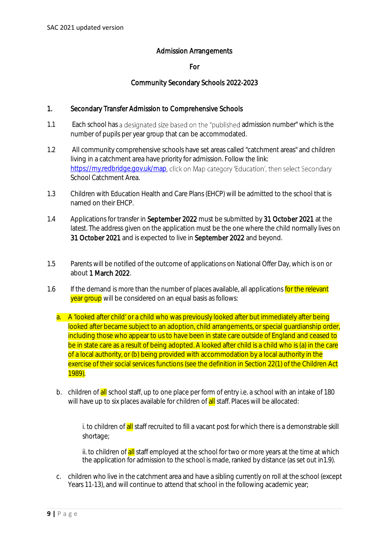### Admission Arrangements

#### For

### Community Secondary Schools 2022-2023

#### 1. Secondary Transfer Admission to Comprehensive Schools

- 1.1 Each school has a designated size based on the "published admission number" which is the number of pupils per year group that can be accommodated.
- 1.2 All community comprehensive schools have set areas called "catchment areas" and children living in a catchment area have priority for admission. Follow the link: https://mv.redbridge.gov.uk/map.click on Map category 'Education', then select Secondary School Catchment Area.
- 1.3 Children with Education Health and Care Plans (EHCP) will be admitted to the school that is named on their EHCP.
- 1.4 Applications for transfer in September 2022 must be submitted by 31 October 2021 at the latest. The address given on the application must be the one where the child normally lives on 31 October 2021 and is expected to live in September 2022 and beyond.
- 1.5 Parents will be notified of the outcome of applications on National Offer Day, which is on or about 1 March 2022.
- 1.6 If the demand is more than the number of places available, all applications for the relevant vear group will be considered on an equal basis as follows:
	- a. A 'looked after child' or a child who was previously looked after but immediately after being looked after became subject to an adoption, child arrangements, or special guardianship order, including those who appear to us to have been in state care outside of England and ceased to be in state care as a result of being adopted. A looked after child is a child who is (a) in the care of a local authority, or (b) being provided with accommodation by a local authority in the exercise of their social services functions (see the definition in Section 22(1) of the Children Act 1989).
	- b. children of all school staff, up to one place per form of entry i.e. a school with an intake of 180 will have up to six places available for children of all staff. Places will be allocated:

i. to children of **all** staff recruited to fill a vacant post for which there is a demonstrable skill shortage;

ii. to children of all staff employed at the school for two or more years at the time at which the application for admission to the school is made, ranked by distance (as set out in1.9).

c. children who live in the catchment area and have a sibling currently on roll at the school (except Years 11-13), and will continue to attend that school in the following academic year;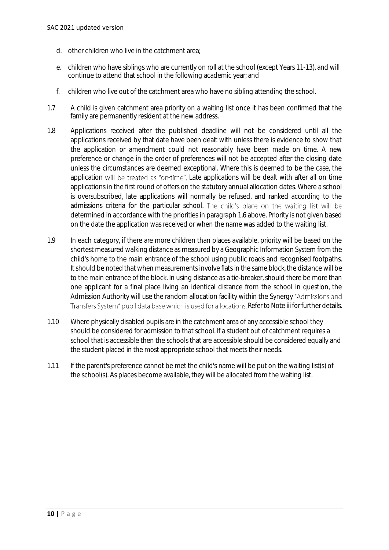- d. other children who live in the catchment area;
- e. children who have siblings who are currently on roll at the school (except Years 11-13), and will continue to attend that school in the following academic year; and
- f. children who live out of the catchment area who have no sibling attending the school.
- 1.7 A child is given catchment area priority on a waiting list once it has been confirmed that the family are permanently resident at the new address.
- 1.8 Applications received after the published deadline will not be considered until all the applications received by that date have been dealt with unless there is evidence to show that the application or amendment could not reasonably have been made on time. A new preference or change in the order of preferences will not be accepted after the closing date unless the circumstances are deemed exceptional. Where this is deemed to be the case, the application will be treated as "on-time". Late applications will be dealt with after all on time applications in the first round of offers on the statutory annual allocation dates. Where a school is oversubscribed, late applications will normally be refused, and ranked according to the admissions criteria for the particular school. The child's place on the waiting list will be determined in accordance with the priorities in paragraph 1.6 above. Priority is not given based on the date the application was received or when the name was added to the waiting list.
- 1.9 In each category, if there are more children than places available, priority will be based on the shortest measured walking distance as measured by a Geographic Information System from the child's home to the main entrance of the school using public roads and recognised footpaths. It should be noted that when measurements involve flats in the same block, the distance will be to the main entrance of the block. In using distance as a tie-breaker, should there be more than one applicant for a final place living an identical distance from the school in question, the Admission Authority will use the random allocation facility within the Synergy "Admissions and Transfers System" pupil data base which is used for allocations. Refer to Note iii for further details.
- 1.10 Where physically disabled pupils are in the catchment area of any accessible school they should be considered for admission to that school. If a student out of catchment requires a school that is accessible then the schools that are accessible should be considered equally and the student placed in the most appropriate school that meets their needs.
- 1.11 If the parent's preference cannot be met the child's name will be put on the waiting list(s) of the school(s). As places become available, they will be allocated from the waiting list.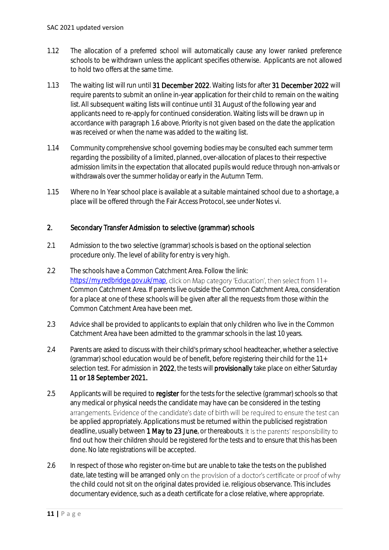- 1.12 The allocation of a preferred school will automatically cause any lower ranked preference schools to be withdrawn unless the applicant specifies otherwise. Applicants are not allowed to hold two offers at the same time.
- 1.13 The waiting list will run until 31 December 2022. Waiting lists for after 31 December 2022 will require parents to submit an online in-year application for their child to remain on the waiting list. All subsequent waiting lists will continue until 31 August of the following year and applicants need to re-apply for continued consideration. Waiting lists will be drawn up in accordance with paragraph 1.6 above. Priority is not given based on the date the application was received or when the name was added to the waiting list.
- 1.14 Community comprehensive school governing bodies may be consulted each summer term regarding the possibility of a limited, planned, over-allocation of places to their respective admission limits in the expectation that allocated pupils would reduce through non-arrivals or withdrawals over the summer holiday or early in the Autumn Term.
- 1.15 Where no In Year school place is available at a suitable maintained school due to a shortage, a place will be offered through the Fair Access Protocol, see under Notes vi.

### 2. Secondary Transfer Admission to selective (grammar) schools

- 2.1 Admission to the two selective (grammar) schools is based on the optional selection procedure only. The level of ability for entry is very high.
- 2.2 The schools have a Common Catchment Area. Follow the link: <https://my.redbridge.gov.uk/map>, click on Map category 'Education', then select from 11+ Common Catchment Area. If parents live outside the Common Catchment Area, consideration for a place at one of these schools will be given after all the requests from those within the Common Catchment Area have been met.
- 2.3 Advice shall be provided to applicants to explain that only children who live in the Common Catchment Area have been admitted to the grammar schools in the last 10 years.
- 2.4 Parents are asked to discuss with their child's primary school headteacher, whether a selective (grammar) school education would be of benefit, before registering their child for the 11+ selection test. For admission in 2022, the tests will provisionally take place on either Saturday 11 or 18 September 2021.
- 2.5 Applicants will be required to register for the tests for the selective (grammar) schools so that any medical or physical needs the candidate may have can be considered in the testing arrangements. Evidence of the candidate's date of birth will be required to ensure the test can be applied appropriately. Applications must be returned within the publicised registration deadline, usually between 1 May to 23 June, or thereabouts. It is the parents' responsibility to find out how their children should be registered for the tests and to ensure that this has been done. No late registrations will be accepted.
- 2.6 In respect of those who register on-time but are unable to take the tests on the published date, late testing will be arranged only on the provision of a doctor's certificate or proof of why the child could not sit on the original dates provided i.e. religious observance. This includes documentary evidence, such as a death certificate for a close relative, where appropriate.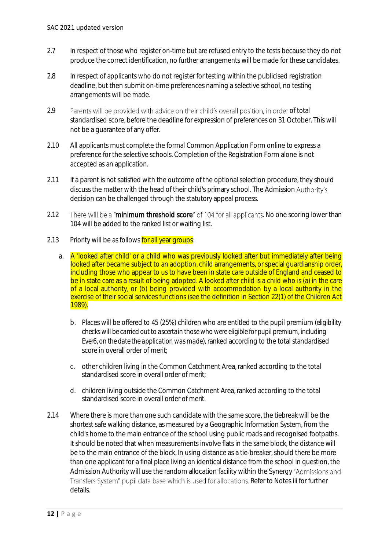- 2.7 In respect of those who register on-time but are refused entry to the tests because they do not produce the correct identification, no further arrangements will be made for these candidates.
- 2.8 In respect of applicants who do not register for testing within the publicised registration deadline, but then submit on-time preferences naming a selective school, no testing arrangements will be made.
- 2.9 Parents will be provided with advice on their child's overall position, in order of total standardised score, before the deadline for expression of preferences on 31 October. This will not be a guarantee of any offer.
- 2.10 All applicants must complete the formal Common Application Form online to express a preference for the selective schools. Completion of the Registration Form alone is not accepted as an application.
- 2.11 If a parent is not satisfied with the outcome of the optional selection procedure, they should discuss the matter with the head of their child's primary school. The Admission Authority's decision can be challenged through the statutory appeal process.
- 2.12 There will be a "minimum threshold score" of 104 for all applicants. No one scoring lower than 104 will be added to the ranked list or waiting list.
- 2.13 Priority will be as follows for all year groups:
	- a. A 'looked after child' or a child who was previously looked after but immediately after being looked after became subject to an adoption, child arrangements, or special guardianship order, including those who appear to us to have been in state care outside of England and ceased to be in state care as a result of being adopted. A looked after child is a child who is (a) in the care of a local authority, or (b) being provided with accommodation by a local authority in the exercise of their social services functions (see the definition in Section 22(1) of the Children Act 1989).
		- b. Places will be offered to 45 (25%) children who are entitled to the pupil premium (*eligibility checks will be carried out to ascertain those who were eligible for pupil premium, including Ever6, on the date the application was made*), ranked according to the total standardised score in overall order of merit;
		- c. other children living in the Common Catchment Area, ranked according to the total standardised score in overall order of merit;
		- d. children living outside the Common Catchment Area, ranked according to the total standardised score in overall order of merit.
- 2.14 Where there is more than one such candidate with the same score, the tiebreak will be the shortest safe walking distance, as measured by a Geographic Information System, from the child's home to the main entrance of the school using public roads and recognised footpaths. It should be noted that when measurements involve flats in the same block, the distance will be to the main entrance of the block. In using distance as a tie-breaker, should there be more than one applicant for a final place living an identical distance from the school in question, the Admission Authority will use the random allocation facility within the Synergy Transfers System" pupil data base which is used for allocations. Refer to Notes iii for further details.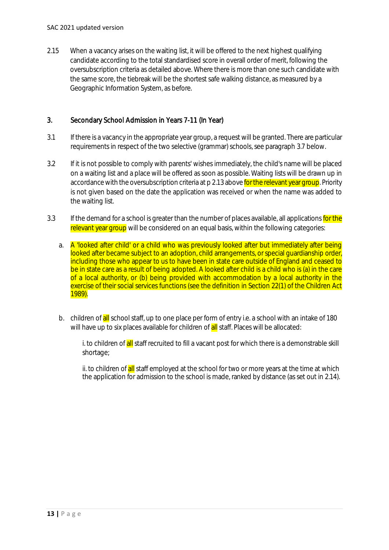#### SAC 2021 updated version

2.15 When a vacancy arises on the waiting list, it will be offered to the next highest qualifying candidate according to the total standardised score in overall order of merit, following the oversubscription criteria as detailed above. Where there is more than one such candidate with the same score, the tiebreak will be the shortest safe walking distance, as measured by a Geographic Information System, as before.

#### 3. Secondary School Admission in Years 7-11 (In Year)

- 3.1 If there is a vacancy in the appropriate year group, a request will be granted. There are particular requirements in respect of the two selective (grammar) schools, see paragraph 3.7 below.
- 3.2 If it is not possible to comply with parents' wishes immediately, the child's name will be placed on a waiting list and a place will be offered as soon as possible. Waiting lists will be drawn up in accordance with the oversubscription criteria at p 2.13 above for the relevant year group. Priority is not given based on the date the application was received or when the name was added to the waiting list.
- 3.3 If the demand for a school is greater than the number of places available, all applications for the relevant year group will be considered on an equal basis, within the following categories:
	- a. A 'looked after child' or a child who was previously looked after but immediately after being looked after became subject to an adoption, child arrangements, or special guardianship order, including those who appear to us to have been in state care outside of England and ceased to be in state care as a result of being adopted. A looked after child is a child who is (a) in the care of a local authority, or (b) being provided with accommodation by a local authority in the exercise of their social services functions (see the definition in Section 22(1) of the Children Act 1989).
	- b. children of all school staff, up to one place per form of entry i.e. a school with an intake of 180 will have up to six places available for children of **all** staff. Places will be allocated:

i. to children of **all** staff recruited to fill a vacant post for which there is a demonstrable skill shortage;

ii. to children of all staff employed at the school for two or more years at the time at which the application for admission to the school is made, ranked by distance (as set out in 2.14).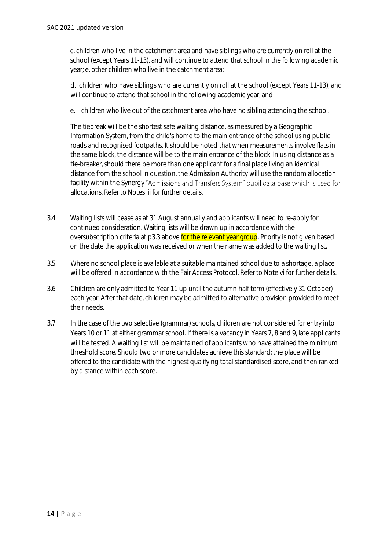c. children who live in the catchment area and have siblings who are currently on roll at the school (except Years 11-13), and will continue to attend that school in the following academic year; e. other children who live in the catchment area;

d. children who have siblings who are currently on roll at the school (except Years 11-13), and will continue to attend that school in the following academic year; and

e. children who live out of the catchment area who have no sibling attending the school.

The tiebreak will be the shortest safe walking distance, as measured by a Geographic Information System, from the child's home to the main entrance of the school using public roads and recognised footpaths. It should be noted that when measurements involve flats in the same block, the distance will be to the main entrance of the block. In using distance as a tie-breaker, should there be more than one applicant for a final place living an identical distance from the school in question, the Admission Authority will use the random allocation facility within the Synergy "Admissions and Transfers System" pupil data base which is used for allocations. Refer to Notes iii for further details.

- 3.4 Waiting lists will cease as at 31 August annually and applicants will need to re-apply for continued consideration. Waiting lists will be drawn up in accordance with the oversubscription criteria at p3.3 above for the relevant year group. Priority is not given based on the date the application was received or when the name was added to the waiting list.
- 3.5 Where no school place is available at a suitable maintained school due to a shortage, a place will be offered in accordance with the Fair Access Protocol. Refer to Note vi for further details.
- 3.6 Children are only admitted to Year 11 up until the autumn half term (effectively 31 October) each year. After that date, children may be admitted to alternative provision provided to meet their needs.
- 3.7 In the case of the two selective (grammar) schools, children are not considered for entry into Years 10 or 11 at either grammar school. If there is a vacancy in Years 7, 8 and 9, late applicants will be tested. A waiting list will be maintained of applicants who have attained the minimum threshold score. Should two or more candidates achieve this standard; the place will be offered to the candidate with the highest qualifying total standardised score, and then ranked by distance within each score.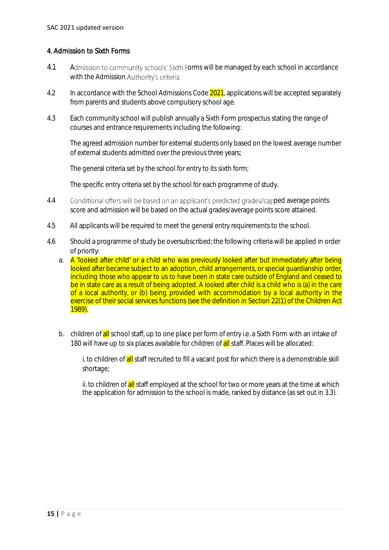### 4. Admission to Sixth Forms

- 4.1 Admission to community schools' Sixth Forms will be managed by each school in accordance with the Admission Authority's criteria.
- 4.2 In accordance with the School Admissions Code 2021, applications will be accepted separately from parents and students above compulsory school age.
- 4.3 Each community school will publish annually a Sixth Form prospectus stating the range of courses and entrance requirements including the following:

The agreed admission number for external students only based on the lowest average number of external students admitted over the previous three years;

The general criteria set by the school for entry to its sixth form;

The specific entry criteria set by the school for each programme of study.

- 4.4 Conditional offers will be based on an applicant's predicted grades/capped average points score and admission will be based on the actual grades/average points score attained.
- 4.5 All applicants will be required to meet the general entry requirements to the school.
- 4.6 Should a programme of study be oversubscribed; the following criteria will be applied in order of priority:
	- a. A 'looked after child' or a child who was previously looked after but immediately after being looked after became subject to an adoption, child arrangements, or special guardianship order. including those who appear to us to have been in state care outside of England and ceased to be in state care as a result of being adopted. A looked after child is a child who is (a) in the care of a local authority, or (b) being provided with accommodation by a local authority in the exercise of their social services functions (see the definition in Section 22(1) of the Children Act 1989).
	- b. children of all school staff, up to one place per form of entry i.e. a Sixth Form with an intake of 180 will have up to six places available for children of **all** staff. Places will be allocated:

i. to children of **all** staff recruited to fill a vacant post for which there is a demonstrable skill shortage;

ii. to children of all staff employed at the school for two or more years at the time at which the application for admission to the school is made, ranked by distance (as set out in 3.3).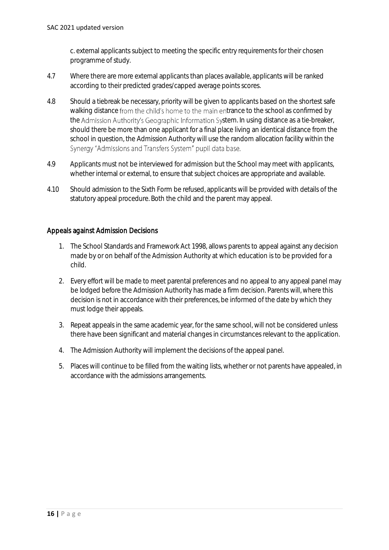c. external applicants subject to meeting the specific entry requirements for their chosen programme of study.

- 4.7 Where there are more external applicants than places available, applicants will be ranked according to their predicted grades/capped average points scores.
- 4.8 Should a tiebreak be necessary, priority will be given to applicants based on the shortest safe walking distance from the child's home to the main entrance to the school as confirmed by the Admission Authority's Geographic Information System. In using distance as a tie-breaker, should there be more than one applicant for a final place living an identical distance from the school in question, the Admission Authority will use the random allocation facility within the Synergy "Admissions and Transfers System" pupil data base.
- 4.9 Applicants must not be interviewed for admission but the School may meet with applicants, whether internal or external, to ensure that subject choices are appropriate and available.
- 4.10 Should admission to the Sixth Form be refused, applicants will be provided with details of the statutory appeal procedure. Both the child and the parent may appeal.

#### Appeals against Admission Decisions

- 1. The School Standards and Framework Act 1998, allows parents to appeal against any decision made by or on behalf of the Admission Authority at which education is to be provided for a child.
- 2. Every effort will be made to meet parental preferences and no appeal to any appeal panel may be lodged before the Admission Authority has made a firm decision. Parents will, where this decision is not in accordance with their preferences, be informed of the date by which they must lodge their appeals.
- 3. Repeat appeals in the same academic year, for the same school, will not be considered unless there have been significant and material changes in circumstances relevant to the application.
- 4. The Admission Authority will implement the decisions of the appeal panel.
- 5. Places will continue to be filled from the waiting lists, whether or not parents have appealed, in accordance with the admissions arrangements.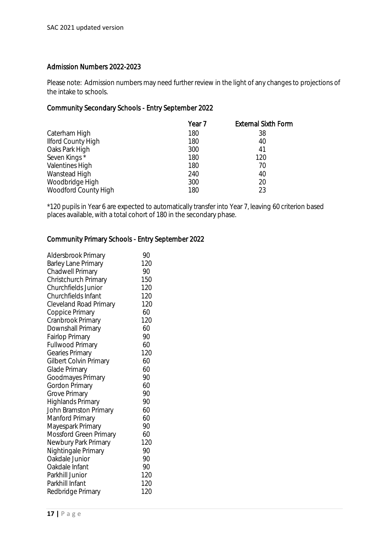#### Admission Numbers 2022-2023

Please note: Admission numbers may need further review in the light of any changes to projections of the intake to schools.

### Community Secondary Schools - Entry September 2022

|                           | Year 7 | <b>External Sixth Form</b> |
|---------------------------|--------|----------------------------|
| Caterham High             | 180    | 38                         |
| <b>Ilford County High</b> | 180    | 40                         |
| Oaks Park High            | 300    | 41                         |
| Seven Kings*              | 180    | 120                        |
| Valentines High           | 180    | 70                         |
| Wanstead High             | 240    | 40                         |
| Woodbridge High           | 300    | 20                         |
| Woodford County High      | 180    | 23                         |

\*120 pupils in Year 6 are expected to automatically transfer into Year 7, leaving 60 criterion based places available, with a total cohort of 180 in the secondary phase.

### Community Primary Schools - Entry September 2022

| Aldersbrook Primary           | 90  |
|-------------------------------|-----|
| Barley Lane Primary           | 120 |
| Chadwell Primary              | 90  |
| Christchurch Primary          | 150 |
| <b>Churchfields Junior</b>    | 120 |
| Churchfields Infant           | 120 |
| <b>Cleveland Road Primary</b> | 120 |
| Coppice Primary               | 60  |
| Cranbrook Primary             | 120 |
| Downshall Primary             | 60  |
| <b>Fairlop Primary</b>        | 90  |
| Fullwood Primary              | 60  |
| Gearies Primary               | 120 |
| Gilbert Colvin Primary        | 60  |
| Glade Primary                 | 60  |
| Goodmayes Primary             | 90  |
| Gordon Primary                | 60  |
| Grove Primary                 | 90  |
| Highlands Primary             | 90  |
| John Bramston Primary         | 60  |
| Manford Primary               | 60  |
| Mayespark Primary             | 90  |
| Mossford Green Primary        | 60  |
| Newbury Park Primary          | 120 |
| Nightingale Primary           | 90  |
| Oakdale Junior                | 90  |
| Oakdale Infant                | 90  |
| Parkhill Junior               | 120 |
| Parkhill Infant               | 120 |
| Redbridge Primary             | 120 |
|                               |     |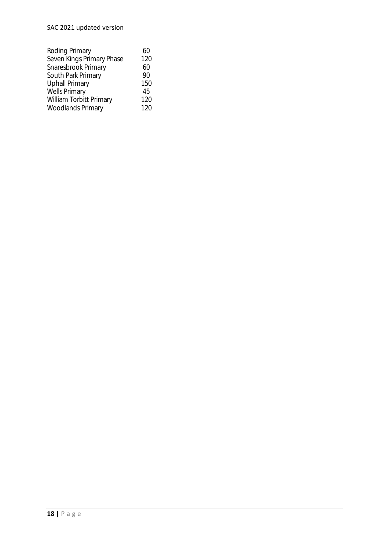## SAC 2021 updated version

| 60  |
|-----|
| 120 |
| 60  |
| 90  |
| 150 |
| 45  |
| 120 |
| 120 |
|     |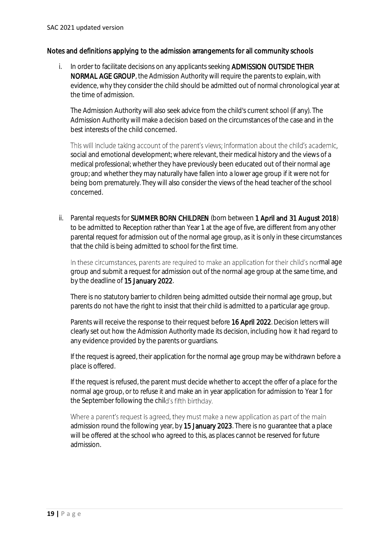#### Notes and definitions applying to the admission arrangements for all community schools

i. In order to facilitate decisions on any applicants seeking **ADMISSION OUTSIDE THEIR** NORMAL AGE GROUP, the Admission Authority will require the parents to explain, with evidence, why they consider the child should be admitted out of normal chronological year at the time of admission.

The Admission Authority will also seek advice from the child's current school (if any). The Admission Authority will make a decision based on the circumstances of the case and in the best interests of the child concerned.

This will include taking account of the parent's views; information about the child's academic, social and emotional development; where relevant, their medical history and the views of a medical professional; whether they have previously been educated out of their normal age group; and whether they may naturally have fallen into a lower age group if it were not for being born prematurely*.* They will also consider the views of the head teacher of the school concerned.

ii. Parental requests for **SUMMER BORN CHILDREN** (born between 1 April and 31 August 2018) to be admitted to Reception rather than Year 1 at the age of five, are different from any other parental request for admission out of the normal age group, as it is only in these circumstances that the child is being admitted to school for the first time.

In these circumstances, parents are required to make an application for their child's normal age group and submit a request for admission out of the normal age group at the same time, and by the deadline of 15 January 2022.

There is no statutory barrier to children being admitted outside their normal age group, but parents do not have the right to insist that their child is admitted to a particular age group.

Parents will receive the response to their request before 16 April 2022. Decision letters will clearly set out how the Admission Authority made its decision, including how it had regard to any evidence provided by the parents or guardians.

If the request is agreed, their application for the normal age group may be withdrawn before a place is offered.

If the request is refused, the parent must decide whether to accept the offer of a place for the normal age group, or to refuse it and make an in year application for admission to Year 1 for the September following the child's fifth birthday.

Where a parent's request is agreed, they must make a new application as part of the main admission round the following year, by 15 January 2023. There is no quarantee that a place will be offered at the school who agreed to this, as places cannot be reserved for future admission.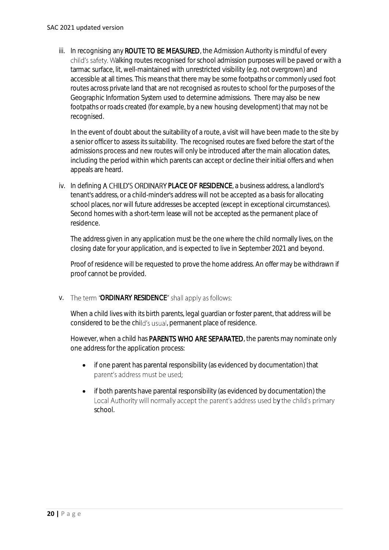iii. In recognising any **ROUTE TO BE MEASURED**, the Admission Authority is mindful of every child's safety. Walking routes recognised for school admission purposes will be paved or with a tarmac surface, lit, well-maintained with unrestricted visibility (e.g. not overgrown) and accessible at all times. This means that there may be some footpaths or commonly used foot routes across private land that are not recognised as routes to school for the purposes of the Geographic Information System used to determine admissions. There may also be new footpaths or roads created (for example, by a new housing development) that may not be recognised.

In the event of doubt about the suitability of a route, a visit will have been made to the site by a senior officer to assess its suitability. The recognised routes are fixed before the start of the admissions process and new routes will only be introduced after the main allocation dates, including the period within which parents can accept or decline their initial offers and when appeals are heard.

iv. In defining A CHILD'S ORDINARY PLACE OF RESIDENCE, a business address, a landlord's tenant's address, or a child-minder's address will not be accepted as a basis for allocating school places, nor will future addresses be accepted (except in exceptional circumstances). Second homes with a short-term lease will not be accepted as the permanent place of residence.

The address given in any application must be the one where the child normally lives, on the closing date for your application, and is expected to live in September 2021 and beyond.

Proof of residence will be requested to prove the home address. An offer may be withdrawn if proof cannot be provided.

v. The term "ORDINARY RESIDENCE" shall apply as follows:

When a child lives with its birth parents, legal guardian or foster parent, that address will be considered to be the child's usual, permanent place of residence.

However, when a child has **PARENTS WHO ARE SEPARATED**, the parents may nominate only one address for the application process:

- if one parent has parental responsibility (as evidenced by documentation) that parent's address must be used;
- if both parents have parental responsibility (as evidenced by documentation) the Local Authority will normally accept the parent's address used by the child's primary school.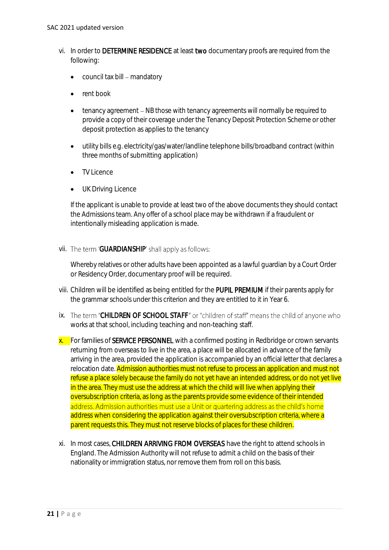- vi. In order to DETERMINE RESIDENCE at least two documentary proofs are required from the following:
	- council tax bill mandatory
	- rent book
	- tenancy agreement NB those with tenancy agreements will normally be required to provide a copy of their coverage under the Tenancy Deposit Protection Scheme or other deposit protection as applies to the tenancy
	- utility bills e.g. electricity/gas/water/landline telephone bills/broadband contract (within three months of submitting application)
	- TV Licence
	- **UK Driving Licence**

If the applicant is unable to provide at least two of the above documents they should contact the Admissions team. Any offer of a school place may be withdrawn if a fraudulent or intentionally misleading application is made.

vii. The term 'GUARDIANSHIP' shall apply as follows:

Whereby relatives or other adults have been appointed as a lawful guardian by a Court Order or Residency Order, documentary proof will be required.

- viii. Children will be identified as being entitled for the PUPIL PREMIUM if their parents apply for the grammar schools under this criterion and they are entitled to it in Year 6.
- ix. The term "CHILDREN OF SCHOOL STAFF" or "children of staff" means the child of anyone who works at that school, including teaching and non-teaching staff.
- x. For families of SERVICE PERSONNEL with a confirmed posting in Redbridge or crown servants returning from overseas to live in the area, a place will be allocated in advance of the family arriving in the area, provided the application is accompanied by an official letter that declares a relocation date. **Admission authorities must not refuse to process an application and must not** refuse a place solely because the family do not yet have an intended address, or do not yet live in the area. They must use the address at which the child will live when applying their oversubscription criteria, as long as the parents provide some evidence of their intended address. Admission authorities must use a Unit or quartering address as the child's home address when considering the application against their oversubscription criteria, where a parent requests this. They must not reserve blocks of places for these children.
- xi. In most cases, CHILDREN ARRIVING FROM OVERSEAS have the right to attend schools in England. The Admission Authority will not refuse to admit a child on the basis of their nationality or immigration status, nor remove them from roll on this basis.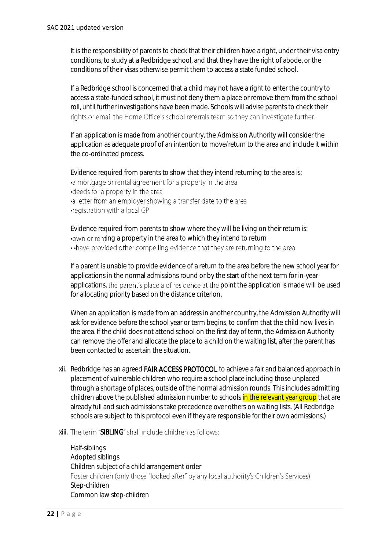It is the responsibility of parents to check that their children have a right, under their visa entry conditions, to study at a Redbridge school, and that they have the right of abode, or the conditions of their visas otherwise permit them to access a state funded school.

If a Redbridge school is concerned that a child may not have a right to enter the country to access a state-funded school, it must not deny them a place or remove them from the school roll, until further investigations have been made. Schools will advise parents to check their rights or email the Home Office's school referrals team so they can investigate further.

If an application is made from another country, the Admission Authority will consider the application as adequate proof of an intention to move/return to the area and include it within the co-ordinated process.

Evidence required from parents to show that they intend returning to the area is: •a mortgage or rental agreement for a property in the area •deeds for a property in the area

- •a letter from an employer showing a transfer date to the area
- •registration with a local GP

Evidence required from parents to show where they will be living on their return is: . own or renting a property in the area to which they intend to return

.. have provided other compelling evidence that they are returning to the area

If a parent is unable to provide evidence of a return to the area before the new school year for applications in the normal admissions round or by the start of the next term for in-year applications, the parent's place a of residence at the point the application is made will be used for allocating priority based on the distance criterion.

When an application is made from an address in another country, the Admission Authority will ask for evidence before the school year or term begins, to confirm that the child now lives in the area. If the child does not attend school on the first day of term, the Admission Authority can remove the offer and allocate the place to a child on the waiting list, after the parent has been contacted to ascertain the situation.

- xii. Redbridge has an agreed FAIR ACCESS PROTOCOL to achieve a fair and balanced approach in placement of vulnerable children who require a school place including those unplaced through a shortage of places, outside of the normal admission rounds. This includes admitting children above the published admission number to schools in the relevant year group that are already full and such admissions take precedence over others on waiting lists. (All Redbridge schools are subject to this protocol even if they are responsible for their own admissions.)
- xiii. The term "SIBLING" shall include children as follows:

Half-siblings Adopted siblings Children subject of a child arrangement order Foster children (only those "looked after" by any local authority's Children's Services) Step-children Common law step-children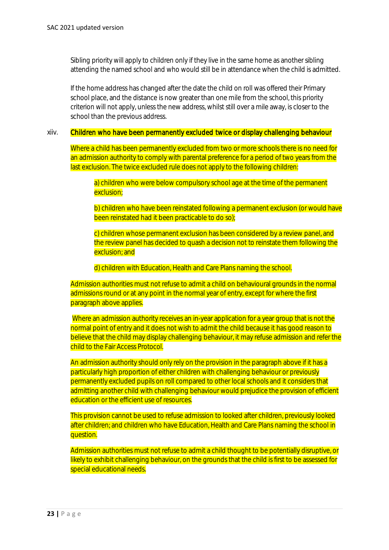Sibling priority will apply to children only if they live in the same home as another sibling attending the named school and who would still be in attendance when the child is admitted.

If the home address has changed after the date the child on roll was offered their Primary school place, and the distance is now greater than one mile from the school, this priority criterion will not apply, unless the new address, whilst still over a mile away, is closer to the school than the previous address.

#### xiiv. Children who have been permanently excluded twice or display challenging behaviour

Where a child has been permanently excluded from two or more schools there is no need for an admission authority to comply with parental preference for a period of two years from the last exclusion. The twice excluded rule does not apply to the following children:

a) children who were below compulsory school age at the time of the permanent exclusion;

b) children who have been reinstated following a permanent exclusion (or would have been reinstated had it been practicable to do so);

c) children whose permanent exclusion has been considered by a review panel, and the review panel has decided to quash a decision not to reinstate them following the exclusion; and

d) children with Education, Health and Care Plans naming the school.

Admission authorities must not refuse to admit a child on behavioural grounds in the normal admissions round or at any point in the normal year of entry, except for where the first paragraph above applies.

Where an admission authority receives an in-year application for a year group that is not the normal point of entry and it does not wish to admit the child because it has good reason to believe that the child may display challenging behaviour, it may refuse admission and refer the child to the Fair Access Protocol.

An admission authority should only rely on the provision in the paragraph above if it has a particularly high proportion of either children with challenging behaviour or previously permanently excluded pupils on roll compared to other local schools and it considers that admitting another child with challenging behaviour would prejudice the provision of efficient education or the efficient use of resources.

This provision cannot be used to refuse admission to looked after children, previously looked after children; and children who have Education, Health and Care Plans naming the school in question.

Admission authorities must not refuse to admit a child thought to be potentially disruptive, or likely to exhibit challenging behaviour, on the grounds that the child is first to be assessed for special educational needs.